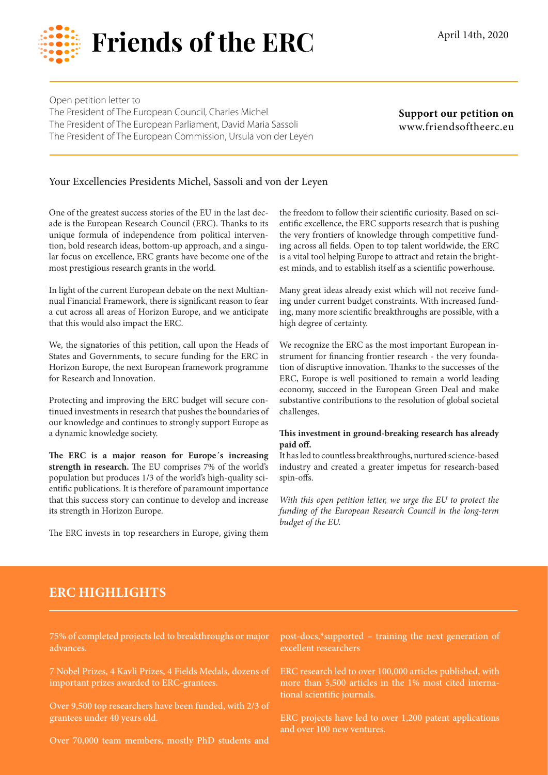

Open petition letter to The President of The European Council, Charles Michel The President of The European Parliament, David Maria Sassoli The President of The European Commission, Ursula von der Leyen

**Support our petition on**  www.friendsoftheerc.eu

## Your Excellencies Presidents Michel, Sassoli and von der Leyen

One of the greatest success stories of the EU in the last decade is the European Research Council (ERC). Thanks to its unique formula of independence from political intervention, bold research ideas, bottom-up approach, and a singular focus on excellence, ERC grants have become one of the most prestigious research grants in the world.

In light of the current European debate on the next Multiannual Financial Framework, there is significant reason to fear a cut across all areas of Horizon Europe, and we anticipate that this would also impact the ERC.

We, the signatories of this petition, call upon the Heads of States and Governments, to secure funding for the ERC in Horizon Europe, the next European framework programme for Research and Innovation.

Protecting and improving the ERC budget will secure continued investments in research that pushes the boundaries of our knowledge and continues to strongly support Europe as a dynamic knowledge society.

**The ERC is a major reason for Europe´s increasing strength in research.** The EU comprises 7% of the world's population but produces 1/3 of the world's high-quality scientific publications. It is therefore of paramount importance that this success story can continue to develop and increase its strength in Horizon Europe.

The ERC invests in top researchers in Europe, giving them

the freedom to follow their scientific curiosity. Based on scientific excellence, the ERC supports research that is pushing the very frontiers of knowledge through competitive funding across all fields. Open to top talent worldwide, the ERC is a vital tool helping Europe to attract and retain the brightest minds, and to establish itself as a scientific powerhouse.

Many great ideas already exist which will not receive funding under current budget constraints. With increased funding, many more scientific breakthroughs are possible, with a high degree of certainty.

We recognize the ERC as the most important European instrument for financing frontier research - the very foundation of disruptive innovation. Thanks to the successes of the ERC, Europe is well positioned to remain a world leading economy, succeed in the European Green Deal and make substantive contributions to the resolution of global societal challenges.

## **This investment in ground-breaking research has already paid off.**

It has led to countless breakthroughs, nurtured science-based industry and created a greater impetus for research-based spin-offs.

*With this open petition letter, we urge the EU to protect the funding of the European Research Council in the long-term budget of the EU.*

## **ERC HIGHLIGHTS**

75% of completed projects led to breakthroughs or major advances.

7 Nobel Prizes, 4 Kavli Prizes, 4 Fields Medals, dozens of important prizes awarded to ERC-grantees.

Over 9,500 top researchers have been funded, with 2/3 of grantees under 40 years old.

Over 70,000 team members, mostly PhD students and

post-docs,\*supported – training the next generation of excellent researchers

ERC research led to over 100,000 articles published, with more than 5,500 articles in the 1% most cited international scientific journals.

ERC projects have led to over 1,200 patent applications and over 100 new ventures.